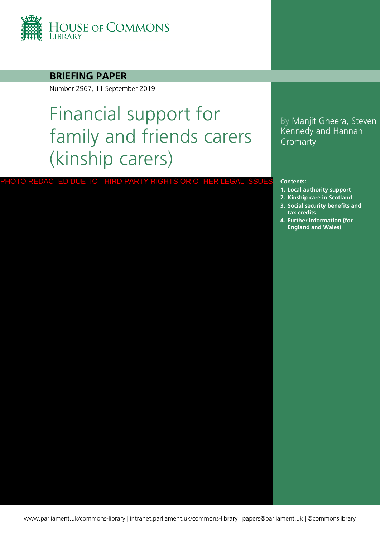

#### **BRIEFING PAPER**

Number 2967, 11 September 2019

# Financial support for family and friends carers (kinship carers)

#### PHOTO REDACTED DUE TO THIRD PARTY RIGHTS OR OTHER LEGAL ISSUE

### By Manjit Gheera, Steven Kennedy and Hannah Cromarty

#### **Contents:**

- **1. [Local authority support](#page-3-0)**
- **2. [Kinship care in Scotland](#page-11-0) 3. [Social security benefits and](#page-12-0)**
- **tax credits**
- **4. [Further information \(for](#page-18-0)  England and Wales)**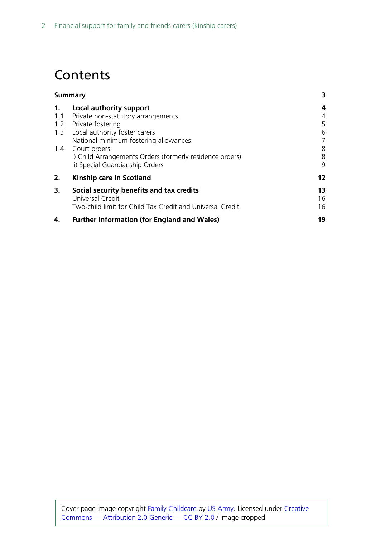## Contents

| Summary                                                   |    |
|-----------------------------------------------------------|----|
| Local authority support                                   | 4  |
| Private non-statutory arrangements                        | 4  |
| Private fostering                                         | 5  |
| Local authority foster carers                             | 6  |
| National minimum fostering allowances                     | 7  |
| 1.4 Court orders                                          | 8  |
| i) Child Arrangements Orders (formerly residence orders)  | 8  |
| ii) Special Guardianship Orders                           | 9  |
| Kinship care in Scotland                                  | 12 |
| Social security benefits and tax credits                  | 13 |
| Universal Credit                                          | 16 |
| Two-child limit for Child Tax Credit and Universal Credit | 16 |
| <b>Further information (for England and Wales)</b>        | 19 |
|                                                           |    |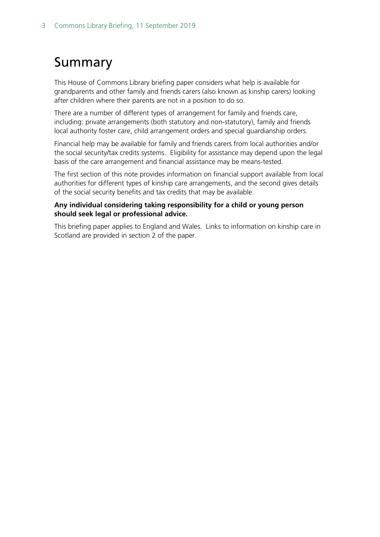## <span id="page-2-0"></span>Summary

This House of Commons Library briefing paper considers what help is available for grandparents and other family and friends carers (also known as kinship carers) looking after children where their parents are not in a position to do so.

There are a number of different types of arrangement for family and friends care, including: private arrangements (both statutory and non-statutory), family and friends local authority foster care, child arrangement orders and special guardianship orders.

Financial help may be available for family and friends carers from local authorities and/or the social security/tax credits systems. Eligibility for assistance may depend upon the legal basis of the care arrangement and financial assistance may be means-tested.

The first section of this note provides information on financial support available from local authorities for different types of kinship care arrangements, and the second gives details of the social security benefits and tax credits that may be available.

#### **Any individual considering taking responsibility for a child or young person should seek legal or professional advice.**

This briefing paper applies to England and Wales. Links to information on kinship care in Scotland are provided in section 2 of the paper.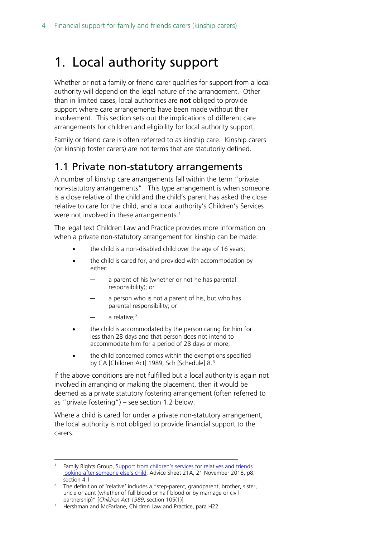## <span id="page-3-0"></span>1. Local authority support

Whether or not a family or friend carer qualifies for support from a local authority will depend on the legal nature of the arrangement. Other than in limited cases, local authorities are **not** obliged to provide support where care arrangements have been made without their involvement. This section sets out the implications of different care arrangements for children and eligibility for local authority support.

Family or friend care is often referred to as kinship care. Kinship carers (or kinship foster carers) are not terms that are statutorily defined.

### <span id="page-3-1"></span>1.1 Private non-statutory arrangements

A number of kinship care arrangements fall within the term "private non-statutory arrangements". This type arrangement is when someone is a close relative of the child and the child's parent has asked the close relative to care for the child, and a local authority's Children's Services were not involved in these arrangements.<sup>[1](#page-3-2)</sup>

The legal text Children Law and Practice provides more information on when a private non-statutory arrangement for kinship can be made:

- the child is a non-disabled child over the age of 16 years;
- the child is cared for, and provided with accommodation by either:
	- a parent of his (whether or not he has parental responsibility); or
	- a person who is not a parent of his, but who has parental responsibility; or
	- $-$  a relative;<sup>[2](#page-3-3)</sup>
- the child is accommodated by the person caring for him for less than 28 days and that person does not intend to accommodate him for a period of 28 days or more;
- the child concerned comes within the exemptions specified by CA [Children Act] 1989, Sch [Schedule] 8.[3](#page-3-4)

If the above conditions are not fulfilled but a local authority is again not involved in arranging or making the placement, then it would be deemed as a private statutory fostering arrangement (often referred to as "private fostering") – see section 1.2 below.

Where a child is cared for under a private non-statutory arrangement, the local authority is not obliged to provide financial support to the carers.

<span id="page-3-2"></span>Family Rights Group, Support from children's services for relatives and friends [looking after someone else's child,](https://www.frg.org.uk/images/Advice_Sheets/21a-support-from-childrens-services-for-relatives-friends-looking-after-someone-elses-child.pdf) Advice Sheet 21A, 21 November 2018, p8, section 4.1

<span id="page-3-3"></span><sup>&</sup>lt;sup>2</sup> The definition of 'relative' includes a "step-parent, grandparent, brother, sister, uncle or aunt (whether of full blood or half blood or by marriage or civil partnership)" [*Children Act 1989*, section 105(1)]

<span id="page-3-4"></span><sup>&</sup>lt;sup>3</sup> Hershman and McFarlane, Children Law and Practice, para H22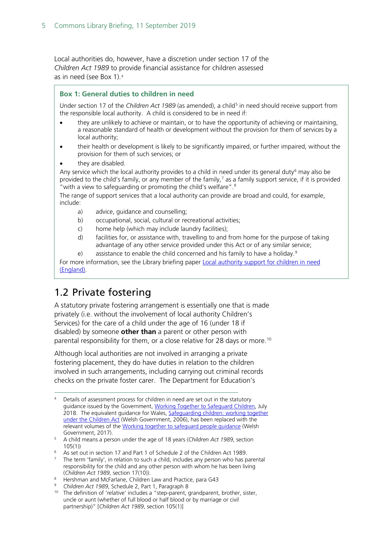Local authorities do, however, have a discretion under section 17 of the *Children Act 1989* to provide financial assistance for children assessed as in need (see Box 1).[4](#page-4-1)

#### **Box 1: General duties to children in need**

Under section 17 of the *Children Act 1989* (as amended), a child<sup>[5](#page-4-2)</sup> in need should receive support from the responsible local authority. A child is considered to be in need if:

- they are unlikely to achieve or maintain, or to have the opportunity of achieving or maintaining, a reasonable standard of health or development without the provision for them of services by a local authority;
- their health or development is likely to be significantly impaired, or further impaired, without the provision for them of such services; or
- they are disabled.

Any service which the local authority provides to a child in need under its general duty<sup>[6](#page-4-3)</sup> may also be provided to the child's family, or any member of the family,<sup>[7](#page-4-4)</sup> as a family support service, if it is provided "with a view to safeguarding or promoting the child's welfare".[8](#page-4-5)

The range of support services that a local authority can provide are broad and could, for example, include:

- a) advice, guidance and counselling;
- b) occupational, social, cultural or recreational activities;
- c) home help (which may include laundry facilities);
- d) facilities for, or assistance with, travelling to and from home for the purpose of taking advantage of any other service provided under this Act or of any similar service;
- e) assistance to enable the child concerned and his family to have a holiday.<sup>[9](#page-4-6)</sup>

For more information, see the Library briefing paper Local authority support for children in need [\(England\).](https://researchbriefings.parliament.uk/ResearchBriefing/Summary/CBP-7730)

### <span id="page-4-0"></span>1.2 Private fostering

A statutory private fostering arrangement is essentially one that is made privately (i.e. without the involvement of local authority Children's Services) for the care of a child under the age of 16 (under 18 if disabled) by someone **other than** a parent or other person with parental responsibility for them, or a close relative for 28 days or more.<sup>[10](#page-4-7)</sup>

Although local authorities are not involved in arranging a private fostering placement, they do have duties in relation to the children involved in such arrangements, including carrying out criminal records checks on the private foster carer. The Department for Education's

- <span id="page-4-5"></span><sup>8</sup> Hershman and McFarlane, Children Law and Practice, para G43
- <span id="page-4-7"></span><span id="page-4-6"></span><sup>9</sup> *Children Act 1989*, Schedule 2, Part 1, Paragraph 8

<span id="page-4-1"></span>Details of assessment process for children in need are set out in the statutory guidance issued by the Government, [Working Together to Safeguard Children,](https://www.gov.uk/government/publications/working-together-to-safeguard-children--2) July 2018. The equivalent guidance for Wales, Safeguarding children: working together [under the Children Act](https://gov.wales/pubs/circulars/2007/nafwc1207en.pdf?lang=en) (Welsh Government, 2006), has been replaced with the relevant volumes of the Working together to safeguard people quidance (Welsh Government, 2017).

<span id="page-4-2"></span><sup>5</sup> A child means a person under the age of 18 years (*Children Act 1989*, section 105(1))

<span id="page-4-3"></span><sup>6</sup> As set out in section 17 and Part 1 of Schedule 2 of the Children Act 1989.

<span id="page-4-4"></span> $7$  The term 'family', in relation to such a child, includes any person who has parental responsibility for the child and any other person with whom he has been living (*Children Act 1989*, section 17(10)).

<sup>&</sup>lt;sup>10</sup> The definition of 'relative' includes a "step-parent, grandparent, brother, sister, uncle or aunt (whether of full blood or half blood or by marriage or civil partnership)" [*Children Act 1989*, section 105(1)]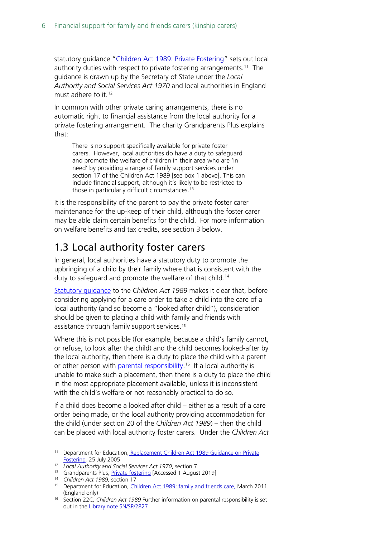statutory guidance ["Children Act 1989: Private Fostering"](https://www.gov.uk/government/publications/children-act-1989-private-fostering) sets out local authority duties with respect to private fostering arrangements.<sup>11</sup> The guidance is drawn up by the Secretary of State under the *Local Authority and Social Services Act 1970* and local authorities in England must adhere to it.<sup>[12](#page-5-2)</sup>

In common with other private caring arrangements, there is no automatic right to financial assistance from the local authority for a private fostering arrangement. The charity Grandparents Plus explains that:

There is no support specifically available for private foster carers. However, local authorities do have a duty to safeguard and promote the welfare of children in their area who are 'in need' by providing a range of family support services under section 17 of the Children Act 1989 [see box 1 above]. This can include financial support, although it's likely to be restricted to those in particularly difficult circumstances.<sup>[13](#page-5-3)</sup>

It is the responsibility of the parent to pay the private foster carer maintenance for the up-keep of their child, although the foster carer may be able claim certain benefits for the child. For more information on welfare benefits and tax credits, see section 3 below.

### <span id="page-5-0"></span>1.3 Local authority foster carers

In general, local authorities have a statutory duty to promote the upbringing of a child by their family where that is consistent with the duty to safeguard and promote the welfare of that child.<sup>[14](#page-5-4)</sup>

[Statutory guidance](https://www.gov.uk/government/publications/children-act-1989-family-and-friends-care) to the *Children Act 1989* makes it clear that, before considering applying for a care order to take a child into the care of a local authority (and so become a "looked after child"), consideration should be given to placing a child with family and friends with assistance through family support services.<sup>[15](#page-5-5)</sup>

Where this is not possible (for example, because a child's family cannot, or refuse, to look after the child) and the child becomes looked-after by the local authority, then there is a duty to place the child with a parent or other person with *parental responsibility*.<sup>16</sup> If a local authority is unable to make such a placement, then there is a duty to place the child in the most appropriate placement available, unless it is inconsistent with the child's welfare or not reasonably practical to do so.

If a child does become a looked after child – either as a result of a care order being made, or the local authority providing accommodation for the child (under section 20 of the *Children Act 1989*) – then the child can be placed with local authority foster carers. Under the *Children Act* 

<span id="page-5-1"></span><sup>&</sup>lt;sup>11</sup> Department for Education, Replacement Children Act 1989 Guidance on Private [Fostering](https://www.gov.uk/government/publications/children-act-1989-private-fostering)*,* 25 July 2005

<span id="page-5-2"></span><sup>12</sup> *Local Authority and Social Services Act 1970*, section 7

<span id="page-5-3"></span><sup>13</sup> Grandparents Plus, [Private fostering](https://www.grandparentsplus.org.uk/private-fostering) [Accessed 1 August 2019]

<span id="page-5-4"></span><sup>14</sup> *Children Act 1989,* section 17

<span id="page-5-5"></span><sup>&</sup>lt;sup>15</sup> Department for Education, *Children Act 1989: family and friends care*, March 2011 (England only)

<span id="page-5-6"></span><sup>16</sup> Section 22C, *Children Act 1989* Further information on parental responsibility is set out in the [Library note SN/SP/2827](http://www.parliament.uk/briefing-papers/SN02827)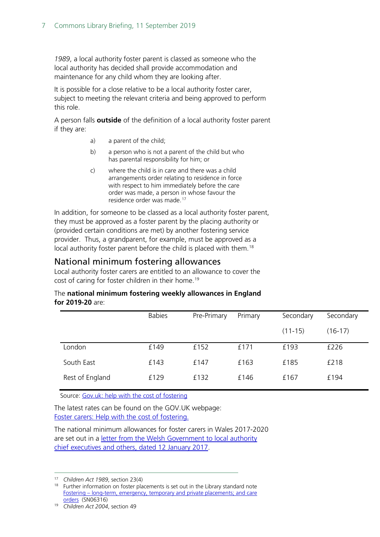*1989*, a local authority foster parent is classed as someone who the local authority has decided shall provide accommodation and maintenance for any child whom they are looking after.

It is possible for a close relative to be a local authority foster carer, subject to meeting the relevant criteria and being approved to perform this role.

A person falls **outside** of the definition of a local authority foster parent if they are:

- a) a parent of the child;
- b) a person who is not a parent of the child but who has parental responsibility for him; or
- c) where the child is in care and there was a child arrangements order relating to residence in force with respect to him immediately before the care order was made, a person in whose favour the residence order was made.[17](#page-6-1)

In addition, for someone to be classed as a local authority foster parent, they must be approved as a foster parent by the placing authority or (provided certain conditions are met) by another fostering service provider. Thus, a grandparent, for example, must be approved as a local authority foster parent before the child is placed with them.<sup>18</sup>

### <span id="page-6-0"></span>National minimum fostering allowances

Local authority foster carers are entitled to an allowance to cover the cost of caring for foster children in their home. [19](#page-6-3)

#### The **national minimum fostering weekly allowances in England for 2019-20** are:

|                 | <b>Babies</b> | Pre-Primary | Primary | Secondary   | Secondary |
|-----------------|---------------|-------------|---------|-------------|-----------|
|                 |               |             |         | $(11 - 15)$ | (16-17)   |
| London          | £149          | £152        | £171    | £193        | £226      |
| South East      | £143          | £147        | £163    | £185        | £218      |
| Rest of England | £129          | £132        | £146    | £167        | £194      |

Source[: Gov.uk: help with the cost of fostering](https://www.gov.uk/foster-carers/help-with-the-cost-of-fostering)

The latest rates can be found on the GOV.UK webpage: Foster carers: Help with the cost of [fostering.](https://www.gov.uk/foster-carers/help-with-the-cost-of-fostering)

The national minimum allowances for foster carers in Wales 2017-2020 are set out in a [letter from the Welsh Government to local authority](https://www.thefosteringnetwork.org.uk/sites/www.fostering.net/files/content/welshgovernmentallowances2017-2020.pdf)  [chief executives and others, dated 12 January 2017.](https://www.thefosteringnetwork.org.uk/sites/www.fostering.net/files/content/welshgovernmentallowances2017-2020.pdf)

<span id="page-6-1"></span> <sup>17</sup> *Children Act 1989*, section 23(4)

<span id="page-6-2"></span><sup>&</sup>lt;sup>18</sup> Further information on foster placements is set out in the Library standard note Fostering – [long-term, emergency, temporary and private placements; and care](http://www.parliament.uk/briefing-papers/SN06316/fostering-longterm-emergency-temporary-and-private-placements-and-care-orders)  [orders](http://www.parliament.uk/briefing-papers/SN06316/fostering-longterm-emergency-temporary-and-private-placements-and-care-orders) (SN06316)

<span id="page-6-3"></span><sup>19</sup> *Children Act 2004*, section 49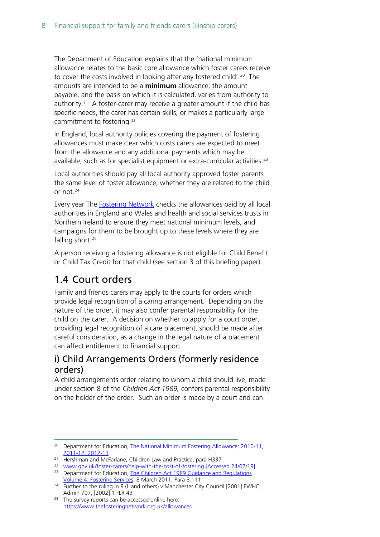The Department of Education explains that the 'national minimum allowance relates to the basic core allowance which foster carers receive to cover the costs involved in looking after any fostered child'.<sup>20</sup> The amounts are intended to be a **minimum** allowance; the amount payable, and the basis on which it is calculated, varies from authority to authority.<sup>[21](#page-7-3)</sup> A foster-carer may receive a greater amount if the child has specific needs, the carer has certain skills, or makes a particularly large commitment to fostering.<sup>[22](#page-7-4)</sup>

In England, local authority policies covering the payment of fostering allowances must make clear which costs carers are expected to meet from the allowance and any additional payments which may be available, such as for specialist equipment or extra-curricular activities.<sup>[23](#page-7-5)</sup>

Local authorities should pay all local authority approved foster parents the same level of foster allowance, whether they are related to the child or not. [24](#page-7-6)

Every year The [Fostering Network](https://www.thefosteringnetwork.org.uk/policy-practice/policies/allowances) checks the allowances paid by all local authorities in England and Wales and health and social services trusts in Northern Ireland to ensure they meet national minimum levels, and campaigns for them to be brought up to these levels where they are falling short.<sup>[25](#page-7-7)</sup>

A person receiving a fostering allowance is not eligible for Child Benefit or Child Tax Credit for that child (see section 3 of this briefing paper).

### <span id="page-7-0"></span>1.4 Court orders

Family and friends carers may apply to the courts for orders which provide legal recognition of a caring arrangement. Depending on the nature of the order, it may also confer parental responsibility for the child on the carer. A decision on whether to apply for a court order, providing legal recognition of a care placement, should be made after careful consideration, as a change in the legal nature of a placement can affect entitlement to financial support.

### <span id="page-7-1"></span>i) Child Arrangements Orders (formerly residence orders)

A child arrangements order relating to whom a child should live, made under section 8 of the *Children Act 1989,* confers parental responsibility on the holder of the order. Such an order is made by a court and can

<span id="page-7-2"></span><sup>&</sup>lt;sup>20</sup> Department for Education, The National Minimum Fostering Allowance: 2010-11, [2011-12, 2012-13](http://media.education.gov.uk/assets/files/pdf/n/national%20minimum%20allowance%20rates%20for%20fostering%20to%202012%2013.pdf)

<span id="page-7-3"></span><sup>&</sup>lt;sup>21</sup> Hershman and McFarlane, Children Law and Practice, para H337

<span id="page-7-4"></span><sup>22</sup> www.gov.uk/foster-carers/help-with-the-cost-of-fostering [Accessed 24/07/19]

<span id="page-7-5"></span><sup>&</sup>lt;sup>23</sup> Department for Education, The Children Act 1989 Guidance and Regulations [Volume 4: Fostering Services,](https://www.gov.uk/government/publications/children-act-1989-fostering-services) 8 March 2011, Para 3.111

<span id="page-7-6"></span><sup>&</sup>lt;sup>24</sup> Further to the ruling in R (L and others) v Manchester City Council [2001] EWHC<br>Admin 707, [2002] 1 FLR 43

<span id="page-7-7"></span> $25$  The survey reports can be accessed online here: <https://www.thefosteringnetwork.org.uk/allowances>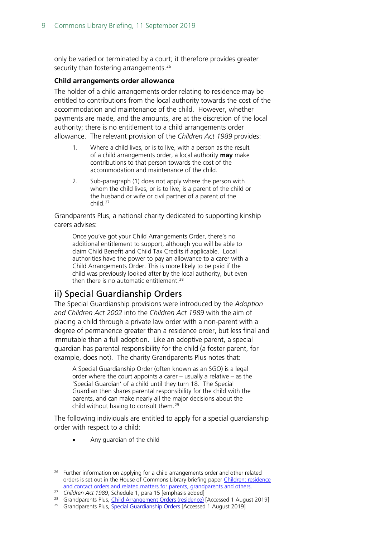only be varied or terminated by a court; it therefore provides greater security than fostering arrangements.<sup>[26](#page-8-1)</sup>

#### **Child arrangements order allowance**

The holder of a child arrangements order relating to residence may be entitled to contributions from the local authority towards the cost of the accommodation and maintenance of the child. However, whether payments are made, and the amounts, are at the discretion of the local authority; there is no entitlement to a child arrangements order allowance. The relevant provision of the *Children Act 1989* provides:

- 1. Where a child lives, or is to live, with a person as the result of a child arrangements order, a local authority **may** make contributions to that person towards the cost of the accommodation and maintenance of the child.
- 2. Sub-paragraph (1) does not apply where the person with whom the child lives, or is to live, is a parent of the child or the husband or wife or civil partner of a parent of the child.[27](#page-8-2)

Grandparents Plus, a national charity dedicated to supporting kinship carers advises:

Once you've got your Child Arrangements Order, there's no additional entitlement to support, although you will be able to claim Child Benefit and Child Tax Credits if applicable. Local authorities have the power to pay an allowance to a carer with a Child Arrangements Order. This is more likely to be paid if the child was previously looked after by the local authority, but even then there is no automatic entitlement.<sup>[28](#page-8-3)</sup>

### <span id="page-8-0"></span>ii) Special Guardianship Orders

The Special Guardianship provisions were introduced by the *Adoption and Children Act 2002* into the *Children Act 1989* with the aim of placing a child through a private law order with a non-parent with a degree of permanence greater than a residence order, but less final and immutable than a full adoption. Like an adoptive parent, a special guardian has parental responsibility for the child (a foster parent, for example, does not). The charity Grandparents Plus notes that:

A Special Guardianship Order (often known as an SGO) is a legal order where the court appoints a carer – usually a relative – as the 'Special Guardian' of a child until they turn 18. The Special Guardian then shares parental responsibility for the child with the parents, and can make nearly all the major decisions about the child without having to consult them.<sup>[29](#page-8-4)</sup>

The following individuals are entitled to apply for a special guardianship order with respect to a child:

• Any guardian of the child

<span id="page-8-1"></span> $26$  Further information on applying for a child arrangements order and other related orders is set out in the House of Commons Library briefing paper [Children: residence](http://www.parliament.uk/briefing-papers/SN03100)  [and contact orders and related matters for parents, grandparents and others](http://www.parliament.uk/briefing-papers/SN03100)*.*

<span id="page-8-2"></span><sup>27</sup> *Children Act 1989*, Schedule 1, para 15 [emphasis added]

<span id="page-8-3"></span><sup>&</sup>lt;sup>28</sup> Grandparents Plus, *Child Arrangement Orders (residence)* [Accessed 1 August 2019]

<span id="page-8-4"></span><sup>&</sup>lt;sup>29</sup> Grandparents Plus, [Special Guardianship Orders](https://www.grandparentsplus.org.uk/special-guardianship-orders) [Accessed 1 August 2019]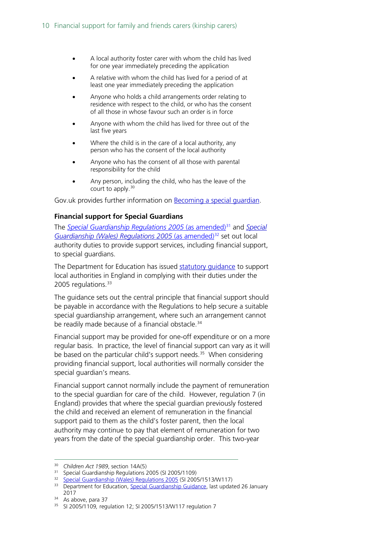- A local authority foster carer with whom the child has lived for one year immediately preceding the application
- A relative with whom the child has lived for a period of at least one year immediately preceding the application
- Anyone who holds a child arrangements order relating to residence with respect to the child, or who has the consent of all those in whose favour such an order is in force
- Anyone with whom the child has lived for three out of the last five years
- Where the child is in the care of a local authority, any person who has the consent of the local authority
- Anyone who has the consent of all those with parental responsibility for the child
- Any person, including the child, who has the leave of the court to apply.[30](#page-9-0)

Gov.uk provides further information on [Becoming a special guardian.](https://www.gov.uk/apply-special-guardian)

#### **Financial support for Special Guardians**

The *[Special Guardianship Regulations 2005](http://www.legislation.gov.uk/uksi/2005/1109/contents/made)* (as amended)<sup>[31](#page-9-1)</sup> and *Special* [Guardianship \(Wales\) Regulations 2005](http://www.legislation.gov.uk/wsi/2005/1513/contents/made) (as amended)<sup>[32](#page-9-2)</sup> set out local authority duties to provide support services, including financial support, to special guardians.

The Department for Education has issued statutory quidance to support local authorities in England in complying with their duties under the 2005 regulations.<sup>[33](#page-9-3)</sup>

The guidance sets out the central principle that financial support should be payable in accordance with the Regulations to help secure a suitable special guardianship arrangement, where such an arrangement cannot be readily made because of a financial obstacle. [34](#page-9-4)

Financial support may be provided for one-off expenditure or on a more regular basis. In practice, the level of financial support can vary as it will be based on the particular child's support needs.<sup>[35](#page-9-5)</sup> When considering providing financial support, local authorities will normally consider the special guardian's means.

Financial support cannot normally include the payment of remuneration to the special guardian for care of the child. However, regulation 7 (in England) provides that where the special guardian previously fostered the child and received an element of remuneration in the financial support paid to them as the child's foster parent, then the local authority may continue to pay that element of remuneration for two years from the date of the special guardianship order. This two-year

<span id="page-9-1"></span><span id="page-9-0"></span><sup>&</sup>lt;sup>30</sup> *Children Act 1989*, section 14A(5)<br><sup>31</sup> Special Guardianship Regulations 2005 (SI 2005/1109)<br><sup>32</sup> [Special Guardianship \(Wales\) Regulations 2005](http://www.legislation.gov.uk/wsi/2005/1513/contents/made) (SI 2005/1513/W117)

<span id="page-9-3"></span><span id="page-9-2"></span><sup>&</sup>lt;sup>33</sup> Department for Education, [Special Guardianship Guidance,](https://www.gov.uk/government/publications/special-guardianship-guidance) last updated 26 January  $2017$  34 As above, para 37

<span id="page-9-5"></span><span id="page-9-4"></span><sup>35</sup> SI 2005/1109*,* regulation 12; SI 2005/1513/W117 regulation 7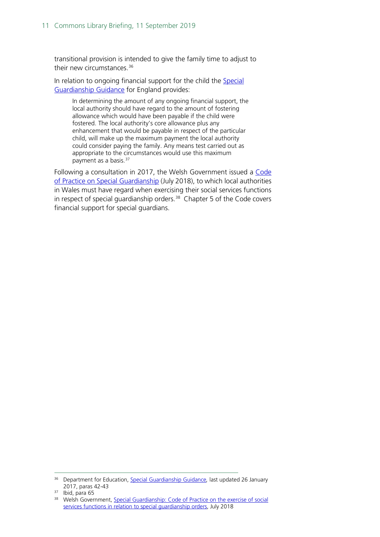transitional provision is intended to give the family time to adjust to their new circumstances.<sup>[36](#page-10-0)</sup>

In relation to ongoing financial support for the child the [Special](https://www.gov.uk/government/publications/special-guardianship-guidance)  [Guardianship Guidance](https://www.gov.uk/government/publications/special-guardianship-guidance) for England provides:

In determining the amount of any ongoing financial support, the local authority should have regard to the amount of fostering allowance which would have been payable if the child were fostered. The local authority's core allowance plus any enhancement that would be payable in respect of the particular child, will make up the maximum payment the local authority could consider paying the family. Any means test carried out as appropriate to the circumstances would use this maximum payment as a basis.<sup>[37](#page-10-1)</sup>

Following a consultation in 2017, the Welsh Government issued a Code [of Practice on Special Guardianship](https://gov.wales/special-guardianship-orders-code-practice) (July 2018), to which local authorities in Wales must have regard when exercising their social services functions in respect of special guardianship orders. [38](#page-10-2) Chapter 5 of the Code covers financial support for special guardians.

<span id="page-10-0"></span> <sup>36</sup> Department for Education, [Special Guardianship Guidance](http://media.education.gov.uk/assets/files/pdf/s/special%20guardianship%20guidance.pdf)*,* last updated 26 January 2017, paras 42-43

<span id="page-10-1"></span> $37$  Ibid, para 65

<span id="page-10-2"></span><sup>&</sup>lt;sup>38</sup> Welsh Government, Special Guardianship: Code of Practice on the exercise of social [services functions in relation to special guardianship orders,](https://gov.wales/special-guardianship-orders-code-practice) July 2018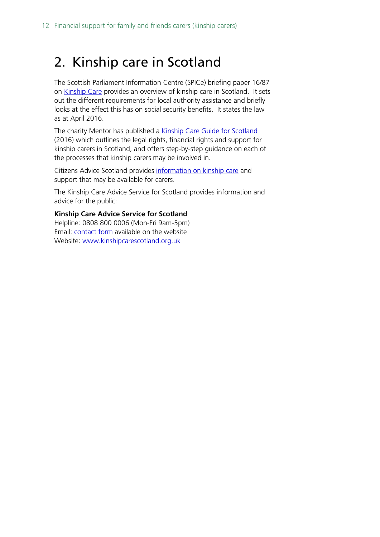## <span id="page-11-0"></span>2. Kinship care in Scotland

The Scottish Parliament Information Centre (SPICe) briefing paper 16/87 on [Kinship Care](https://www.parliament.scot/parliamentarybusiness/101960.aspx) provides an overview of kinship care in Scotland. It sets out the different requirements for local authority assistance and briefly looks at the effect this has on social security benefits. It states the law as at April 2016.

The charity Mentor has published a [Kinship Care Guide for Scotland](https://mentoruk.org.uk/kinship-care-guide-for-scotland/) (2016) which outlines the legal rights, financial rights and support for kinship carers in Scotland, and offers step-by-step guidance on each of the processes that kinship carers may be involved in.

Citizens Advice Scotland provides [information on kinship care](https://www.citizensadvice.org.uk/scotland/family/children-and-young-people/kinship-care-s/) and support that may be available for carers.

The Kinship Care Advice Service for Scotland provides information and advice for the public:

**Kinship Care Advice Service for Scotland** Helpline: 0808 800 0006 (Mon-Fri 9am-5pm) Email: [contact form](http://www.kinshipcarescotland.org.uk/contact/) available on the website

Website: [www.kinshipcarescotland.org.uk](http://www.kinshipcarescotland.org.uk/)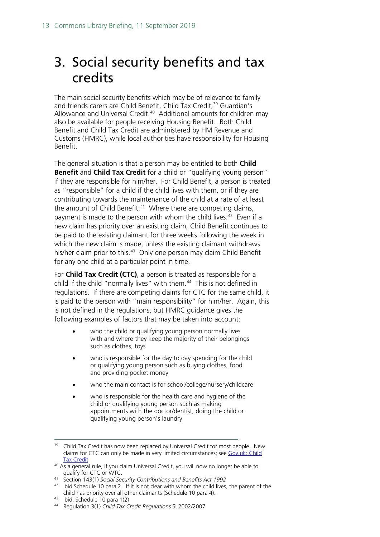## <span id="page-12-0"></span>3. Social security benefits and tax credits

The main social security benefits which may be of relevance to family and friends carers are Child Benefit, Child Tax Credit,<sup>[39](#page-12-1)</sup> Guardian's Allowance and Universal Credit. [40](#page-12-2) Additional amounts for children may also be available for people receiving Housing Benefit. Both Child Benefit and Child Tax Credit are administered by HM Revenue and Customs (HMRC), while local authorities have responsibility for Housing Benefit.

The general situation is that a person may be entitled to both **Child Benefit** and **Child Tax Credit** for a child or "qualifying young person" if they are responsible for him/her. For Child Benefit, a person is treated as "responsible" for a child if the child lives with them, or if they are contributing towards the maintenance of the child at a rate of at least the amount of Child Benefit.<sup>[41](#page-12-3)</sup> Where there are competing claims, payment is made to the person with whom the child lives.<sup>42</sup> Even if a new claim has priority over an existing claim, Child Benefit continues to be paid to the existing claimant for three weeks following the week in which the new claim is made, unless the existing claimant withdraws his/her claim prior to this.<sup>43</sup> Only one person may claim Child Benefit for any one child at a particular point in time.

For **Child Tax Credit (CTC)**, a person is treated as responsible for a child if the child "normally lives" with them.<sup>[44](#page-12-6)</sup> This is not defined in regulations. If there are competing claims for CTC for the same child, it is paid to the person with "main responsibility" for him/her. Again, this is not defined in the regulations, but HMRC guidance gives the following examples of factors that may be taken into account:

- who the child or qualifying young person normally lives with and where they keep the majority of their belongings such as clothes, toys
- who is responsible for the day to day spending for the child or qualifying young person such as buying clothes, food and providing pocket money
- who the main contact is for school/college/nursery/childcare
- who is responsible for the health care and hygiene of the child or qualifying young person such as making appointments with the doctor/dentist, doing the child or qualifying young person's laundry

- <span id="page-12-3"></span><sup>41</sup> Section 143(1) *Social Security Contributions and Benefits Act 1992*
- <span id="page-12-4"></span> $42$  Ibid Schedule 10 para 2. If it is not clear with whom the child lives, the parent of the child has priority over all other claimants (Schedule 10 para 4).
- <span id="page-12-5"></span><sup>43</sup> Ibid. Schedule 10 para 1(2)
- <span id="page-12-6"></span><sup>44</sup> Regulation 3(1) *Child Tax Credit Regulations* SI 2002/2007

<span id="page-12-1"></span><sup>&</sup>lt;sup>39</sup> Child Tax Credit has now been replaced by Universal Credit for most people. New claims for CTC can only be made in very limited circumstances; see Gov.uk: Child **[Tax Credit](https://www.gov.uk/child-tax-credit/new-claim)** 

<span id="page-12-2"></span><sup>&</sup>lt;sup>40</sup> As a general rule, if you claim Universal Credit, you will now no longer be able to qualify for CTC or WTC.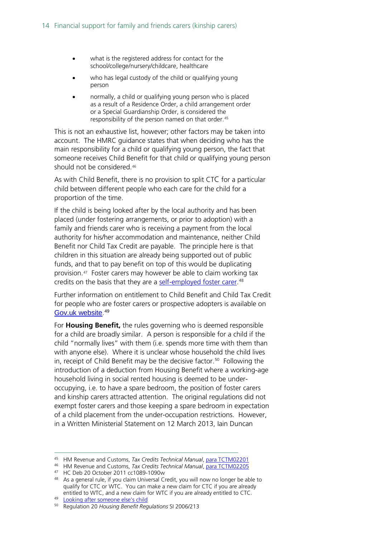- what is the registered address for contact for the school/college/nursery/childcare, healthcare
- who has legal custody of the child or qualifying young person
- normally, a child or qualifying young person who is placed as a result of a Residence Order, a child arrangement order or a Special Guardianship Order, is considered the responsibility of the person named on that order.<sup>[45](#page-13-0)</sup>

This is not an exhaustive list, however; other factors may be taken into account. The HMRC guidance states that when deciding who has the main responsibility for a child or qualifying young person, the fact that someone receives Child Benefit for that child or qualifying young person should not be considered.[46](#page-13-1)

As with Child Benefit, there is no provision to split CTC for a particular child between different people who each care for the child for a proportion of the time.

If the child is being looked after by the local authority and has been placed (under fostering arrangements, or prior to adoption) with a family and friends carer who is receiving a payment from the local authority for his/her accommodation and maintenance, neither Child Benefit nor Child Tax Credit are payable. The principle here is that children in this situation are already being supported out of public funds, and that to pay benefit on top of this would be duplicating provision.[47](#page-13-2) Foster carers may however be able to claim working tax credits on the basis that they are a [self-employed foster carer.](https://revenuebenefits.org.uk/tax-credits/guidance/how-do-tax-credits-work/special-circumstances/foster-carers/)<sup>[48](#page-13-3)</sup>

Further information on entitlement to Child Benefit and Child Tax Credit for people who are foster carers or prospective adopters is available on [Gov.uk website](https://www.gov.uk/looking-after-someone-elses-child). [49](#page-13-4)

For **Housing Benefit,** the rules governing who is deemed responsible for a child are broadly similar. A person is responsible for a child if the child "normally lives" with them (i.e. spends more time with them than with anyone else). Where it is unclear whose household the child lives in, receipt of Child Benefit may be the decisive factor.<sup>50</sup> Following the introduction of a deduction from Housing Benefit where a working-age household living in social rented housing is deemed to be underoccupying, i.e. to have a spare bedroom, the position of foster carers and kinship carers attracted attention. The original regulations did not exempt foster carers and those keeping a spare bedroom in expectation of a child placement from the under-occupation restrictions. However, in a Written Ministerial Statement on 12 March 2013, Iain Duncan

<span id="page-13-0"></span> <sup>45</sup> HM Revenue and Customs, *Tax Credits Technical Manual*, [para TCTM02201](http://www.hmrc.gov.uk/manuals/tctmanual/TCTM02201.htm)

<span id="page-13-1"></span><sup>46</sup> HM Revenue and Customs, *Tax Credits Technical Manual*, [para TCTM02205](http://www.hmrc.gov.uk/manuals/tctmanual/TCTM02205.htm)

<span id="page-13-2"></span><sup>47</sup> HC Deb 20 October 2011 cc1089-1090w

<span id="page-13-3"></span><sup>48</sup> As a general rule, if you claim Universal Credit, you will now no longer be able to qualify for CTC or WTC. You can make a new claim for CTC if you are already entitled to WTC, and a new claim for WTC if you are already entitled to CTC.

<span id="page-13-4"></span><sup>49</sup> [Looking after someone else's child](https://www.gov.uk/looking-after-someone-elses-child)

<span id="page-13-5"></span><sup>50</sup> Regulation 20 *Housing Benefit Regulations* SI 2006/213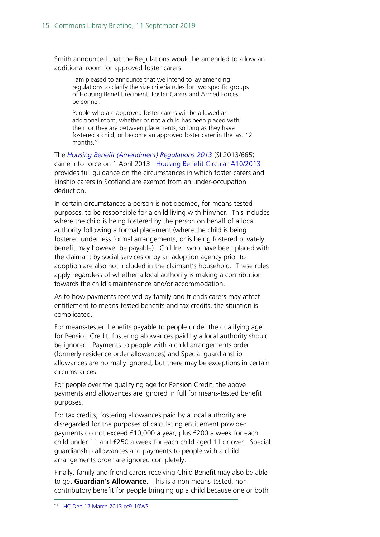Smith announced that the Regulations would be amended to allow an additional room for approved foster carers:

I am pleased to announce that we intend to lay amending regulations to clarify the size criteria rules for two specific groups of Housing Benefit recipient, Foster Carers and Armed Forces personnel.

People who are approved foster carers will be allowed an additional room, whether or not a child has been placed with them or they are between placements, so long as they have fostered a child, or become an approved foster carer in the last 12 months.<sup>[51](#page-14-0)</sup>

The *[Housing Benefit \(Amendment\) Regulations 2013](http://www.legislation.gov.uk/uksi/2013/665/pdfs/uksi_20130665_en.pdf)* (SI 2013/665) came into force on 1 April 2013. [Housing Benefit Circular A10/2013](https://assets.publishing.service.gov.uk/government/uploads/system/uploads/attachment_data/file/582893/a10-2013.pdf)  provides full guidance on the circumstances in which foster carers and kinship carers in Scotland are exempt from an under-occupation deduction.

In certain circumstances a person is not deemed, for means-tested purposes, to be responsible for a child living with him/her. This includes where the child is being fostered by the person on behalf of a local authority following a formal placement (where the child is being fostered under less formal arrangements, or is being fostered privately, benefit may however be payable). Children who have been placed with the claimant by social services or by an adoption agency prior to adoption are also not included in the claimant's household. These rules apply regardless of whether a local authority is making a contribution towards the child's maintenance and/or accommodation.

As to how payments received by family and friends carers may affect entitlement to means-tested benefits and tax credits, the situation is complicated.

For means-tested benefits payable to people under the qualifying age for Pension Credit, fostering allowances paid by a local authority should be ignored. Payments to people with a child arrangements order (formerly residence order allowances) and Special guardianship allowances are normally ignored, but there may be exceptions in certain circumstances.

For people over the qualifying age for Pension Credit, the above payments and allowances are ignored in full for means-tested benefit purposes.

For tax credits, fostering allowances paid by a local authority are disregarded for the purposes of calculating entitlement provided payments do not exceed £10,000 a year, plus £200 a week for each child under 11 and £250 a week for each child aged 11 or over. Special guardianship allowances and payments to people with a child arrangements order are ignored completely.

<span id="page-14-0"></span>Finally, family and friend carers receiving Child Benefit may also be able to get **Guardian's Allowance**. This is a non means-tested, noncontributory benefit for people bringing up a child because one or both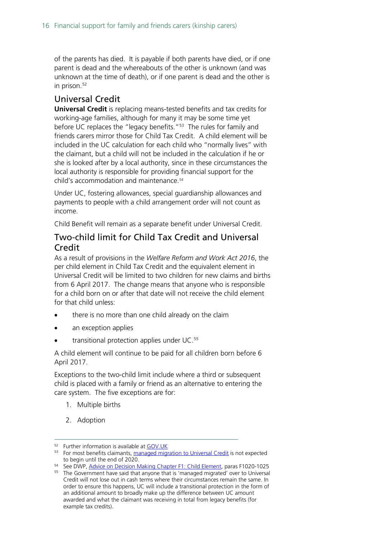of the parents has died. It is payable if both parents have died, or if one parent is dead and the whereabouts of the other is unknown (and was unknown at the time of death), or if one parent is dead and the other is in prison.<sup>[52](#page-15-2)</sup>

### <span id="page-15-0"></span>Universal Credit

**Universal Credit** is replacing means-tested benefits and tax credits for working-age families, although for many it may be some time yet before UC replaces the "legacy benefits."<sup>[53](#page-15-3)</sup> The rules for family and friends carers mirror those for Child Tax Credit. A child element will be included in the UC calculation for each child who "normally lives" with the claimant, but a child will not be included in the calculation if he or she is looked after by a local authority, since in these circumstances the local authority is responsible for providing financial support for the child's accommodation and maintenance.[54](#page-15-4)

Under UC, fostering allowances, special guardianship allowances and payments to people with a child arrangement order will not count as income.

Child Benefit will remain as a separate benefit under Universal Credit.

### <span id="page-15-1"></span>Two-child limit for Child Tax Credit and Universal Credit

As a result of provisions in the *Welfare Reform and Work Act 2016*, the per child element in Child Tax Credit and the equivalent element in Universal Credit will be limited to two children for new claims and births from 6 April 2017. The change means that anyone who is responsible for a child born on or after that date will not receive the child element for that child unless:

- there is no more than one child already on the claim
- an exception applies
- transitional protection applies under UC.<sup>[55](#page-15-5)</sup>

A child element will continue to be paid for all children born before 6 April 2017.

Exceptions to the two-child limit include where a third or subsequent child is placed with a family or friend as an alternative to entering the care system. The five exceptions are for:

- 1. Multiple births
- 2. Adoption

<span id="page-15-2"></span><sup>52</sup> Further information is available at [GOV.UK](https://www.gov.uk/guardians-allowance)

<span id="page-15-3"></span><sup>&</sup>lt;sup>53</sup> For most benefits claimants, [managed migration to Universal Credit](https://revenuebenefits.org.uk/universal-credit/guidance/existing-tax-credit-claimants/managed-migration/) is not expected to begin until the end of 2020.

<span id="page-15-4"></span><sup>54</sup> See DWP, [Advice on Decision Making Chapter F1: Child Element,](https://www.gov.uk/government/uploads/system/uploads/attachment_data/file/330987/admf1.pdf) paras F1020-1025

<span id="page-15-5"></span><sup>55</sup> The Government have said that anyone that is 'managed migrated' over to Universal Credit will not lose out in cash terms where their circumstances remain the same. In order to ensure this happens, UC will include a transitional protection in the form of an additional amount to broadly make up the difference between UC amount awarded and what the claimant was receiving in total from legacy benefits (for example tax credits).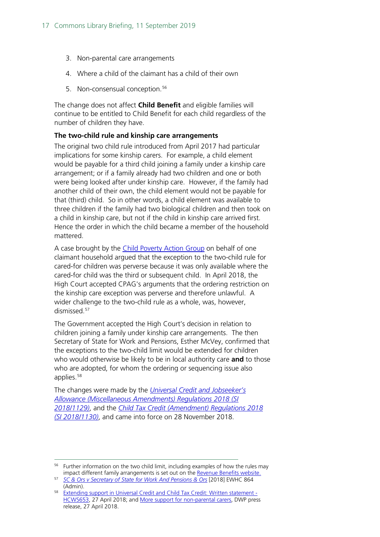- 3. Non-parental care arrangements
- 4. Where a child of the claimant has a child of their own
- 5. Non-consensual conception.<sup>[56](#page-16-0)</sup>

The change does not affect **Child Benefit** and eligible families will continue to be entitled to Child Benefit for each child regardless of the number of children they have.

#### **The two-child rule and kinship care arrangements**

The original two child rule introduced from April 2017 had particular implications for some kinship carers. For example, a child element would be payable for a third child joining a family under a kinship care arrangement; or if a family already had two children and one or both were being looked after under kinship care. However, if the family had another child of their own, the child element would not be payable for that (third) child. So in other words, a child element was available to three children if the family had two biological children and then took on a child in kinship care, but not if the child in kinship care arrived first. Hence the order in which the child became a member of the household mattered.

A case brought by the [Child Poverty Action Group](http://cpag.org.uk/content/high-court-finds-two-child-rule-exception-perverse) on behalf of one claimant household argued that the exception to the two-child rule for cared-for children was perverse because it was only available where the cared-for child was the third or subsequent child. In April 2018, the High Court accepted CPAG's arguments that the ordering restriction on the kinship care exception was perverse and therefore unlawful. A wider challenge to the two-child rule as a whole, was, however, dismissed.<sup>[57](#page-16-1)</sup>

The Government accepted the High Court's decision in relation to children joining a family under kinship care arrangements. The then Secretary of State for Work and Pensions, Esther McVey, confirmed that the exceptions to the two-child limit would be extended for children who would otherwise be likely to be in local authority care **and** to those who are adopted, for whom the ordering or sequencing issue also applies. [58](#page-16-2)

The changes were made by the *[Universal Credit and Jobseeker's](http://www.legislation.gov.uk/uksi/2018/1129/made)  [Allowance \(Miscellaneous Amendments\) Regulations 2018 \(SI](http://www.legislation.gov.uk/uksi/2018/1129/made)  [2018/1129\)](http://www.legislation.gov.uk/uksi/2018/1129/made)*, and the *[Child Tax Credit \(Amendment\) Regulations 2018](http://www.legislation.gov.uk/uksi/2018/1130/made)  [\(SI 2018/1130\)](http://www.legislation.gov.uk/uksi/2018/1130/made)*, and came into force on 28 November 2018.

<span id="page-16-0"></span><sup>&</sup>lt;sup>56</sup> Further information on the two child limit, including examples of how the rules may impact different family arrangements is set out on the Revenue Benefits website.

<span id="page-16-1"></span><sup>&</sup>lt;sup>57</sup> [SC & Ors v Secretary of State for Work And Pensions & Ors](http://www.bailii.org/ew/cases/EWHC/Admin/2018/864.html) [2018] EWHC 864 (Admin).

<span id="page-16-2"></span><sup>&</sup>lt;sup>58</sup> [Extending support in Universal Credit and Child Tax Credit: Written statement -](https://www.parliament.uk/business/publications/written-questions-answers-statements/written-statement/Commons/2018-04-27/HCWS653) [HCWS653,](https://www.parliament.uk/business/publications/written-questions-answers-statements/written-statement/Commons/2018-04-27/HCWS653) 27 April 2018; and [More support for non-parental carers,](https://www.gov.uk/government/news/more-support-for-non-parental-carers) DWP press release, 27 April 2018.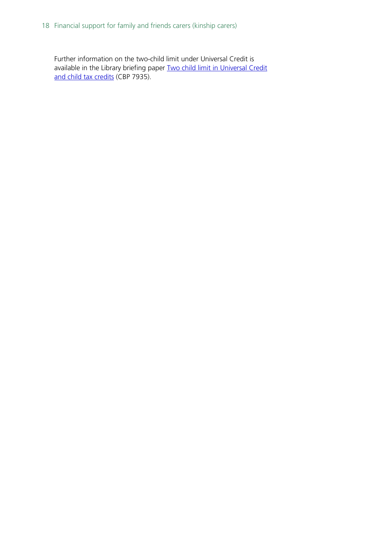Further information on the two-child limit under Universal Credit is available in the Library briefing paper Two child limit in Universal Credit [and child tax credits](https://researchbriefingsintranet.parliament.uk/ResearchBriefing/Summary/CDP-2018-0263) (CBP 7935).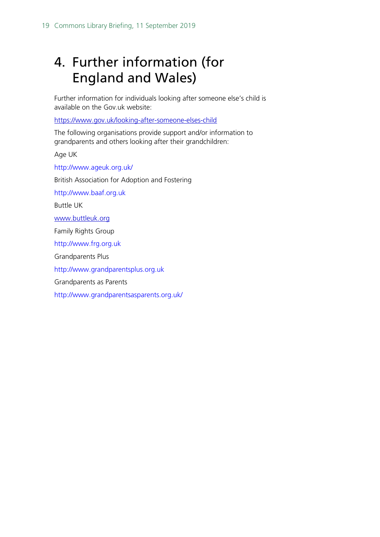## <span id="page-18-0"></span>4. Further information (for England and Wales)

Further information for individuals looking after someone else's child is available on the Gov.uk website:

<https://www.gov.uk/looking-after-someone-elses-child>

The following organisations provide support and/or information to grandparents and others looking after their grandchildren:

Age UK

<http://www.ageuk.org.uk/>

British Association for Adoption and Fostering

[http://www.baaf.org.uk](http://www.baaf.org.uk/)

Buttle UK

[www.buttleuk.org](http://www.buttleuk.org/)

Family Rights Group

[http://www.frg.org.uk](http://www.frg.org.uk/)

Grandparents Plus

[http://www.grandparentsplus.org.uk](http://www.grandparentsplus.org.uk/)

Grandparents as Parents

<http://www.grandparentsasparents.org.uk/>